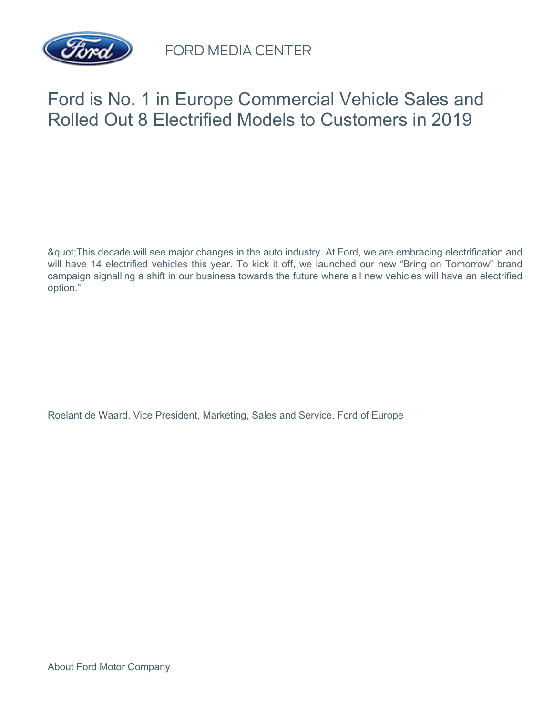

FORD MEDIA CENTER

## Ford is No. 1 in Europe Commercial Vehicle Sales and Rolled Out 8 Electrified Models to Customers in 2019

"This decade will see major changes in the auto industry. At Ford, we are embracing electrification and will have 14 electrified vehicles this year. To kick it off, we launched our new "Bring on Tomorrow" brand campaign signalling a shift in our business towards the future where all new vehicles will have an electrified option."

Roelant de Waard, Vice President, Marketing, Sales and Service, Ford of Europe